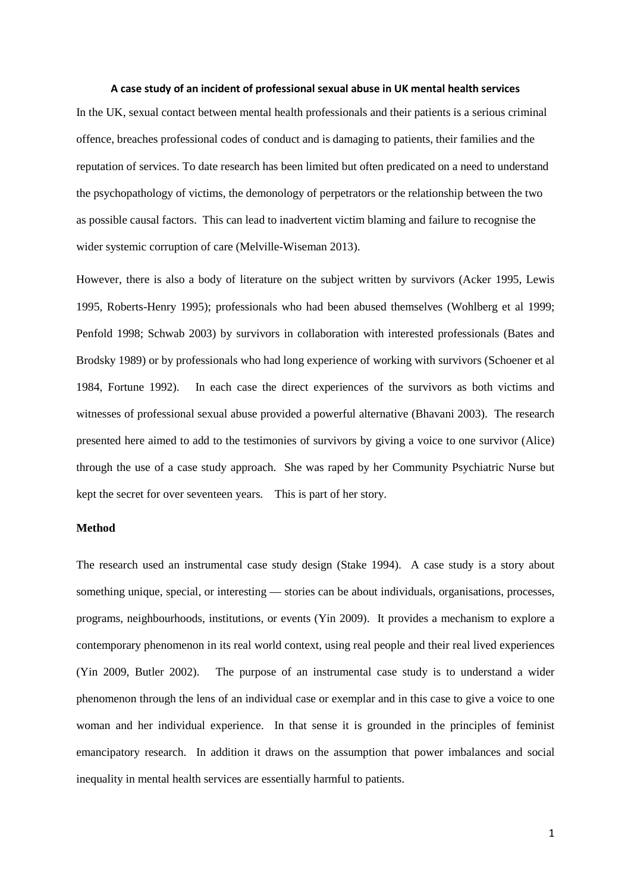#### **A case study of an incident of professional sexual abuse in UK mental health services**

In the UK, sexual contact between mental health professionals and their patients is a serious criminal offence, breaches professional codes of conduct and is damaging to patients, their families and the reputation of services. To date research has been limited but often predicated on a need to understand the psychopathology of victims, the demonology of perpetrators or the relationship between the two as possible causal factors. This can lead to inadvertent victim blaming and failure to recognise the wider systemic corruption of care (Melville-Wiseman 2013).

However, there is also a body of literature on the subject written by survivors (Acker 1995, Lewis 1995, Roberts-Henry 1995); professionals who had been abused themselves (Wohlberg et al 1999; Penfold 1998; Schwab 2003) by survivors in collaboration with interested professionals (Bates and Brodsky 1989) or by professionals who had long experience of working with survivors (Schoener et al 1984, Fortune 1992). In each case the direct experiences of the survivors as both victims and witnesses of professional sexual abuse provided a powerful alternative (Bhavani 2003). The research presented here aimed to add to the testimonies of survivors by giving a voice to one survivor (Alice) through the use of a case study approach. She was raped by her Community Psychiatric Nurse but kept the secret for over seventeen years. This is part of her story.

# **Method**

The research used an instrumental case study design (Stake 1994). A case study is a story about something unique, special, or interesting — stories can be about individuals, organisations, processes, programs, neighbourhoods, institutions, or events (Yin 2009). It provides a mechanism to explore a contemporary phenomenon in its real world context, using real people and their real lived experiences (Yin 2009, Butler 2002). The purpose of an instrumental case study is to understand a wider phenomenon through the lens of an individual case or exemplar and in this case to give a voice to one woman and her individual experience. In that sense it is grounded in the principles of feminist emancipatory research. In addition it draws on the assumption that power imbalances and social inequality in mental health services are essentially harmful to patients.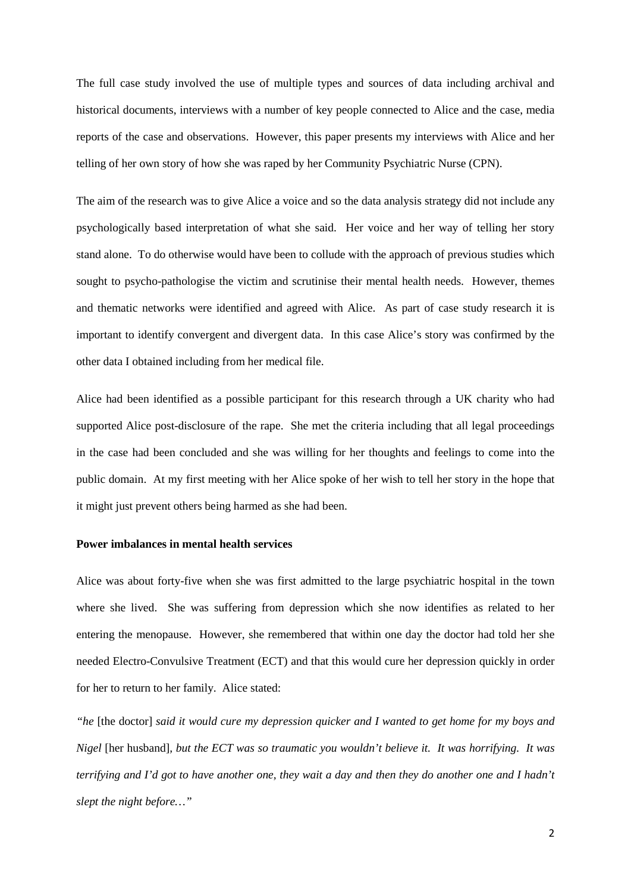The full case study involved the use of multiple types and sources of data including archival and historical documents, interviews with a number of key people connected to Alice and the case, media reports of the case and observations. However, this paper presents my interviews with Alice and her telling of her own story of how she was raped by her Community Psychiatric Nurse (CPN).

The aim of the research was to give Alice a voice and so the data analysis strategy did not include any psychologically based interpretation of what she said. Her voice and her way of telling her story stand alone. To do otherwise would have been to collude with the approach of previous studies which sought to psycho-pathologise the victim and scrutinise their mental health needs. However, themes and thematic networks were identified and agreed with Alice. As part of case study research it is important to identify convergent and divergent data. In this case Alice's story was confirmed by the other data I obtained including from her medical file.

Alice had been identified as a possible participant for this research through a UK charity who had supported Alice post-disclosure of the rape. She met the criteria including that all legal proceedings in the case had been concluded and she was willing for her thoughts and feelings to come into the public domain. At my first meeting with her Alice spoke of her wish to tell her story in the hope that it might just prevent others being harmed as she had been.

### **Power imbalances in mental health services**

Alice was about forty-five when she was first admitted to the large psychiatric hospital in the town where she lived. She was suffering from depression which she now identifies as related to her entering the menopause. However, she remembered that within one day the doctor had told her she needed Electro-Convulsive Treatment (ECT) and that this would cure her depression quickly in order for her to return to her family. Alice stated:

*"he* [the doctor] *said it would cure my depression quicker and I wanted to get home for my boys and Nigel* [her husband]*, but the ECT was so traumatic you wouldn't believe it. It was horrifying. It was terrifying and I'd got to have another one, they wait a day and then they do another one and I hadn't slept the night before…"*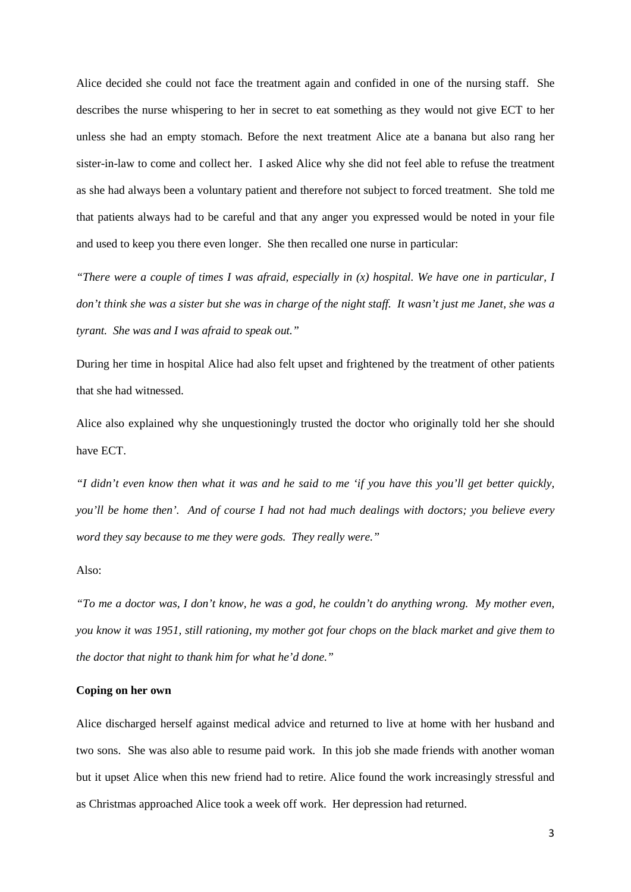Alice decided she could not face the treatment again and confided in one of the nursing staff. She describes the nurse whispering to her in secret to eat something as they would not give ECT to her unless she had an empty stomach. Before the next treatment Alice ate a banana but also rang her sister-in-law to come and collect her. I asked Alice why she did not feel able to refuse the treatment as she had always been a voluntary patient and therefore not subject to forced treatment. She told me that patients always had to be careful and that any anger you expressed would be noted in your file and used to keep you there even longer. She then recalled one nurse in particular:

*"There were a couple of times I was afraid, especially in (x) hospital. We have one in particular, I don't think she was a sister but she was in charge of the night staff. It wasn't just me Janet, she was a tyrant. She was and I was afraid to speak out."*

During her time in hospital Alice had also felt upset and frightened by the treatment of other patients that she had witnessed.

Alice also explained why she unquestioningly trusted the doctor who originally told her she should have ECT.

*"I didn't even know then what it was and he said to me 'if you have this you'll get better quickly, you'll be home then'. And of course I had not had much dealings with doctors; you believe every word they say because to me they were gods. They really were."*

#### Also:

*"To me a doctor was, I don't know, he was a god, he couldn't do anything wrong. My mother even, you know it was 1951, still rationing, my mother got four chops on the black market and give them to the doctor that night to thank him for what he'd done."*

# **Coping on her own**

Alice discharged herself against medical advice and returned to live at home with her husband and two sons. She was also able to resume paid work. In this job she made friends with another woman but it upset Alice when this new friend had to retire. Alice found the work increasingly stressful and as Christmas approached Alice took a week off work. Her depression had returned.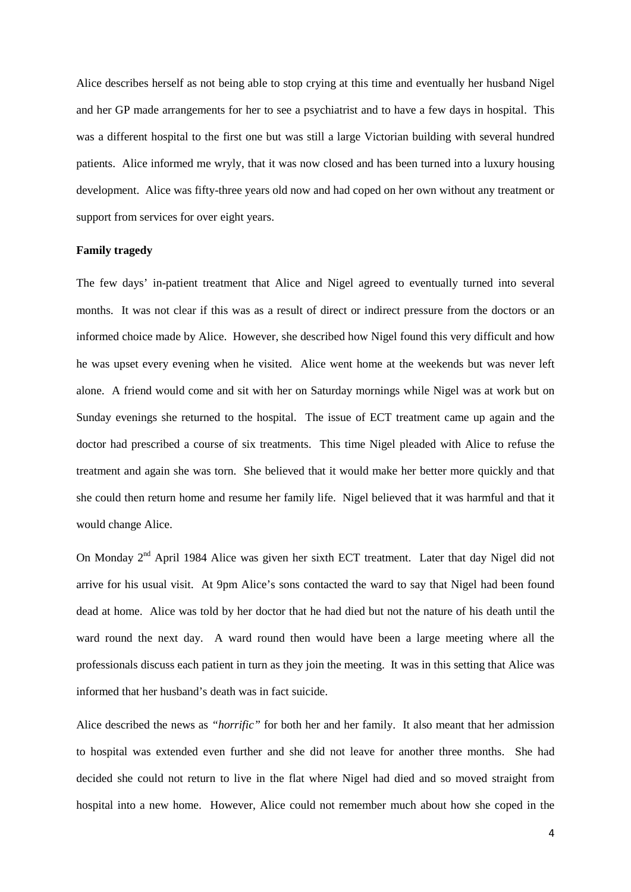Alice describes herself as not being able to stop crying at this time and eventually her husband Nigel and her GP made arrangements for her to see a psychiatrist and to have a few days in hospital. This was a different hospital to the first one but was still a large Victorian building with several hundred patients. Alice informed me wryly, that it was now closed and has been turned into a luxury housing development. Alice was fifty-three years old now and had coped on her own without any treatment or support from services for over eight years.

# **Family tragedy**

The few days' in-patient treatment that Alice and Nigel agreed to eventually turned into several months. It was not clear if this was as a result of direct or indirect pressure from the doctors or an informed choice made by Alice. However, she described how Nigel found this very difficult and how he was upset every evening when he visited. Alice went home at the weekends but was never left alone. A friend would come and sit with her on Saturday mornings while Nigel was at work but on Sunday evenings she returned to the hospital. The issue of ECT treatment came up again and the doctor had prescribed a course of six treatments. This time Nigel pleaded with Alice to refuse the treatment and again she was torn. She believed that it would make her better more quickly and that she could then return home and resume her family life. Nigel believed that it was harmful and that it would change Alice.

On Monday 2<sup>nd</sup> April 1984 Alice was given her sixth ECT treatment. Later that day Nigel did not arrive for his usual visit. At 9pm Alice's sons contacted the ward to say that Nigel had been found dead at home. Alice was told by her doctor that he had died but not the nature of his death until the ward round the next day. A ward round then would have been a large meeting where all the professionals discuss each patient in turn as they join the meeting. It was in this setting that Alice was informed that her husband's death was in fact suicide.

Alice described the news as *"horrific"* for both her and her family. It also meant that her admission to hospital was extended even further and she did not leave for another three months. She had decided she could not return to live in the flat where Nigel had died and so moved straight from hospital into a new home. However, Alice could not remember much about how she coped in the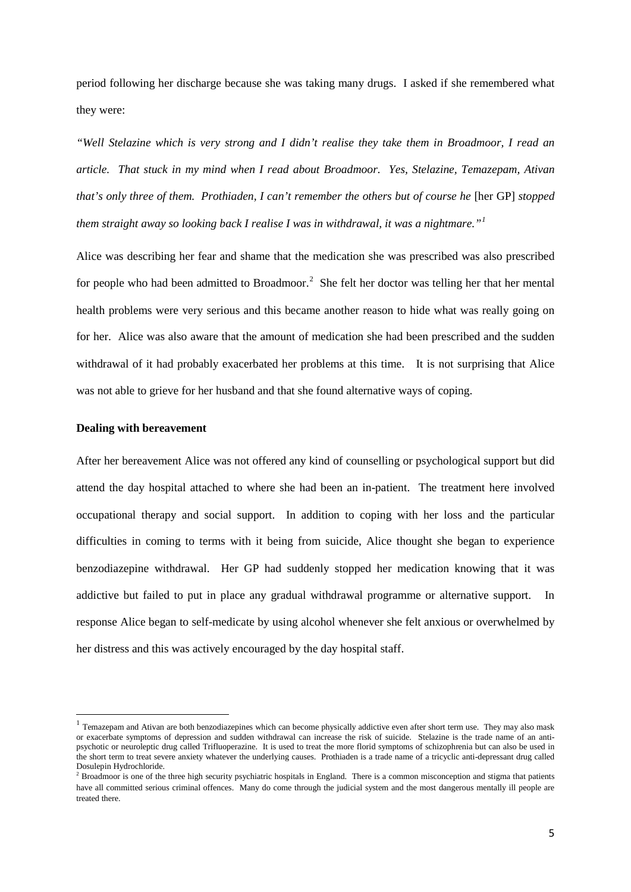period following her discharge because she was taking many drugs. I asked if she remembered what they were:

*"Well Stelazine which is very strong and I didn't realise they take them in Broadmoor, I read an article. That stuck in my mind when I read about Broadmoor. Yes, Stelazine, Temazepam, Ativan that's only three of them. Prothiaden, I can't remember the others but of course he [her GP] stopped them straight away so looking back I realise I was in withdrawal, it was a nightmare."[1](#page-4-0)*

Alice was describing her fear and shame that the medication she was prescribed was also prescribed for people who had been admitted to Broadmoor.<sup>[2](#page-4-1)</sup> She felt her doctor was telling her that her mental health problems were very serious and this became another reason to hide what was really going on for her. Alice was also aware that the amount of medication she had been prescribed and the sudden withdrawal of it had probably exacerbated her problems at this time. It is not surprising that Alice was not able to grieve for her husband and that she found alternative ways of coping.

### **Dealing with bereavement**

**.** 

After her bereavement Alice was not offered any kind of counselling or psychological support but did attend the day hospital attached to where she had been an in-patient. The treatment here involved occupational therapy and social support. In addition to coping with her loss and the particular difficulties in coming to terms with it being from suicide, Alice thought she began to experience benzodiazepine withdrawal. Her GP had suddenly stopped her medication knowing that it was addictive but failed to put in place any gradual withdrawal programme or alternative support. In response Alice began to self-medicate by using alcohol whenever she felt anxious or overwhelmed by her distress and this was actively encouraged by the day hospital staff.

<span id="page-4-0"></span> $1$  Temazepam and Ativan are both benzodiazepines which can become physically addictive even after short term use. They may also mask or exacerbate symptoms of depression and sudden withdrawal can increase the risk of suicide. Stelazine is the trade name of an antipsychotic or neuroleptic drug called Trifluoperazine. It is used to treat the more florid symptoms of schizophrenia but can also be used in the short term to treat severe anxiety whatever the underlying causes. Prothiaden is a trade name of a tricyclic anti-depressant drug called Dosulepin Hydrochloride.

<span id="page-4-1"></span><sup>&</sup>lt;sup>2</sup> Broadmoor is one of the three high security psychiatric hospitals in England. There is a common misconception and stigma that patients have all committed serious criminal offences. Many do come through the judicial system and the most dangerous mentally ill people are treated there.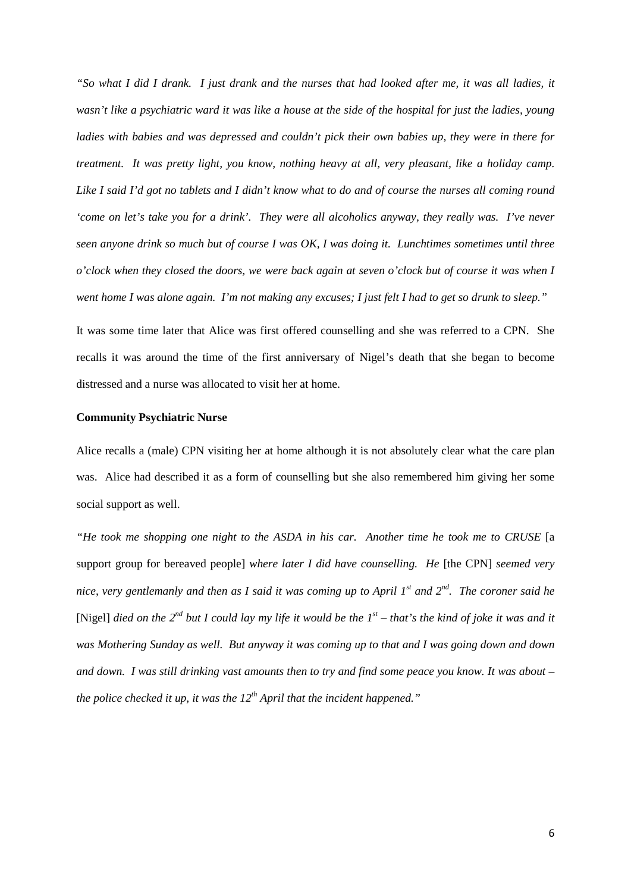*"So what I did I drank. I just drank and the nurses that had looked after me, it was all ladies, it wasn't like a psychiatric ward it was like a house at the side of the hospital for just the ladies, young ladies with babies and was depressed and couldn't pick their own babies up, they were in there for treatment. It was pretty light, you know, nothing heavy at all, very pleasant, like a holiday camp. Like I said I'd got no tablets and I didn't know what to do and of course the nurses all coming round 'come on let's take you for a drink'. They were all alcoholics anyway, they really was. I've never seen anyone drink so much but of course I was OK, I was doing it. Lunchtimes sometimes until three o'clock when they closed the doors, we were back again at seven o'clock but of course it was when I went home I was alone again. I'm not making any excuses; I just felt I had to get so drunk to sleep."*

It was some time later that Alice was first offered counselling and she was referred to a CPN. She recalls it was around the time of the first anniversary of Nigel's death that she began to become distressed and a nurse was allocated to visit her at home.

### **Community Psychiatric Nurse**

Alice recalls a (male) CPN visiting her at home although it is not absolutely clear what the care plan was. Alice had described it as a form of counselling but she also remembered him giving her some social support as well.

*"He took me shopping one night to the ASDA in his car. Another time he took me to CRUSE* [a support group for bereaved people] *where later I did have counselling. He* [the CPN] *seemed very nice, very gentlemanly and then as I said it was coming up to April 1st and 2nd. The coroner said he* [Nigel] *died on the 2<sup>nd</sup> but I could lay my life it would be the*  $I<sup>st</sup>$  *– that's the kind of joke it was and it was Mothering Sunday as well. But anyway it was coming up to that and I was going down and down and down. I was still drinking vast amounts then to try and find some peace you know. It was about – the police checked it up, it was the 12<sup>th</sup> April that the incident happened.*"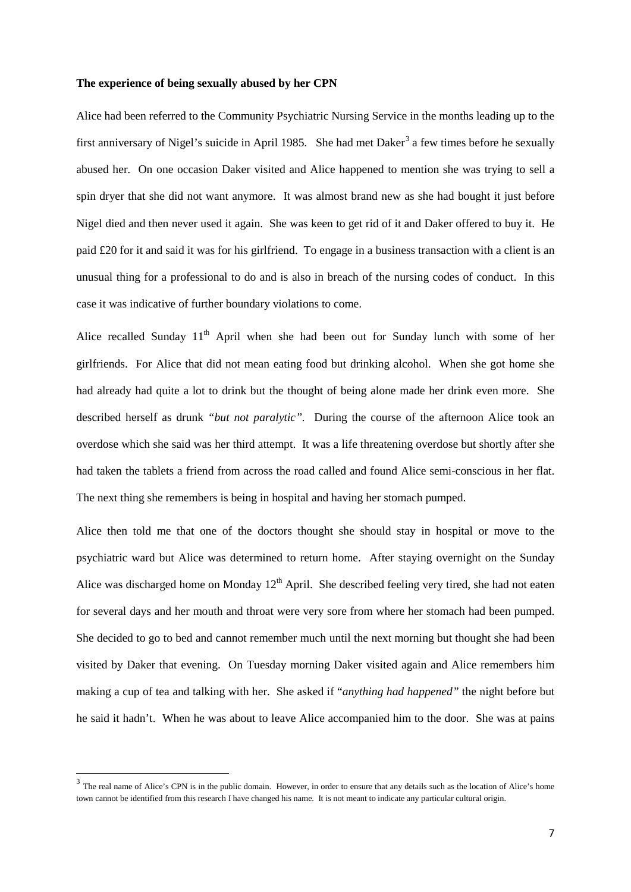### **The experience of being sexually abused by her CPN**

Alice had been referred to the Community Psychiatric Nursing Service in the months leading up to the first anniversary of Nigel's suicide in April 1985. She had met Daker<sup>[3](#page-6-0)</sup> a few times before he sexually abused her. On one occasion Daker visited and Alice happened to mention she was trying to sell a spin dryer that she did not want anymore. It was almost brand new as she had bought it just before Nigel died and then never used it again. She was keen to get rid of it and Daker offered to buy it. He paid £20 for it and said it was for his girlfriend. To engage in a business transaction with a client is an unusual thing for a professional to do and is also in breach of the nursing codes of conduct. In this case it was indicative of further boundary violations to come.

Alice recalled Sunday  $11<sup>th</sup>$  April when she had been out for Sunday lunch with some of her girlfriends. For Alice that did not mean eating food but drinking alcohol. When she got home she had already had quite a lot to drink but the thought of being alone made her drink even more. She described herself as drunk *"but not paralytic".* During the course of the afternoon Alice took an overdose which she said was her third attempt. It was a life threatening overdose but shortly after she had taken the tablets a friend from across the road called and found Alice semi-conscious in her flat. The next thing she remembers is being in hospital and having her stomach pumped.

Alice then told me that one of the doctors thought she should stay in hospital or move to the psychiatric ward but Alice was determined to return home. After staying overnight on the Sunday Alice was discharged home on Monday  $12<sup>th</sup>$  April. She described feeling very tired, she had not eaten for several days and her mouth and throat were very sore from where her stomach had been pumped. She decided to go to bed and cannot remember much until the next morning but thought she had been visited by Daker that evening. On Tuesday morning Daker visited again and Alice remembers him making a cup of tea and talking with her. She asked if "*anything had happened"* the night before but he said it hadn't. When he was about to leave Alice accompanied him to the door. She was at pains

**.** 

<span id="page-6-0"></span><sup>&</sup>lt;sup>3</sup> The real name of Alice's CPN is in the public domain. However, in order to ensure that any details such as the location of Alice's home town cannot be identified from this research I have changed his name. It is not meant to indicate any particular cultural origin.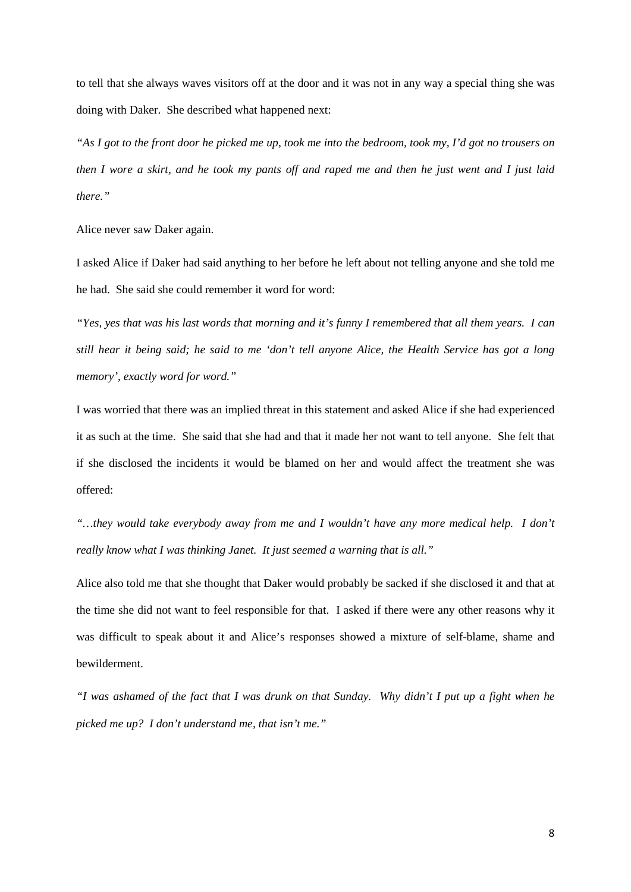to tell that she always waves visitors off at the door and it was not in any way a special thing she was doing with Daker. She described what happened next:

*"As I got to the front door he picked me up, took me into the bedroom, took my, I'd got no trousers on then I wore a skirt, and he took my pants off and raped me and then he just went and I just laid there."*

Alice never saw Daker again.

I asked Alice if Daker had said anything to her before he left about not telling anyone and she told me he had. She said she could remember it word for word:

*"Yes, yes that was his last words that morning and it's funny I remembered that all them years. I can still hear it being said; he said to me 'don't tell anyone Alice, the Health Service has got a long memory', exactly word for word."*

I was worried that there was an implied threat in this statement and asked Alice if she had experienced it as such at the time. She said that she had and that it made her not want to tell anyone. She felt that if she disclosed the incidents it would be blamed on her and would affect the treatment she was offered:

*"…they would take everybody away from me and I wouldn't have any more medical help. I don't really know what I was thinking Janet. It just seemed a warning that is all."*

Alice also told me that she thought that Daker would probably be sacked if she disclosed it and that at the time she did not want to feel responsible for that. I asked if there were any other reasons why it was difficult to speak about it and Alice's responses showed a mixture of self-blame, shame and bewilderment.

*"I was ashamed of the fact that I was drunk on that Sunday. Why didn't I put up a fight when he picked me up? I don't understand me, that isn't me."*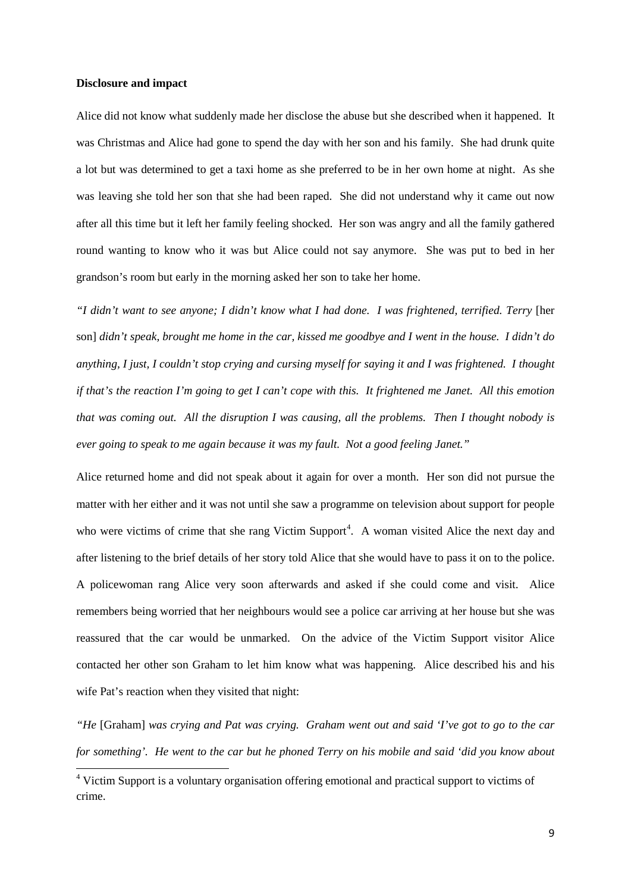#### **Disclosure and impact**

 $\overline{a}$ 

Alice did not know what suddenly made her disclose the abuse but she described when it happened. It was Christmas and Alice had gone to spend the day with her son and his family. She had drunk quite a lot but was determined to get a taxi home as she preferred to be in her own home at night. As she was leaving she told her son that she had been raped. She did not understand why it came out now after all this time but it left her family feeling shocked. Her son was angry and all the family gathered round wanting to know who it was but Alice could not say anymore. She was put to bed in her grandson's room but early in the morning asked her son to take her home.

*"I didn't want to see anyone; I didn't know what I had done. I was frightened, terrified. Terry* [her son] *didn't speak, brought me home in the car, kissed me goodbye and I went in the house. I didn't do anything, I just, I couldn't stop crying and cursing myself for saying it and I was frightened. I thought if that's the reaction I'm going to get I can't cope with this. It frightened me Janet. All this emotion that was coming out. All the disruption I was causing, all the problems. Then I thought nobody is ever going to speak to me again because it was my fault. Not a good feeling Janet."*

Alice returned home and did not speak about it again for over a month. Her son did not pursue the matter with her either and it was not until she saw a programme on television about support for people who were victims of crime that she rang Victim Support<sup>[4](#page-8-0)</sup>. A woman visited Alice the next day and after listening to the brief details of her story told Alice that she would have to pass it on to the police. A policewoman rang Alice very soon afterwards and asked if she could come and visit. Alice remembers being worried that her neighbours would see a police car arriving at her house but she was reassured that the car would be unmarked. On the advice of the Victim Support visitor Alice contacted her other son Graham to let him know what was happening. Alice described his and his wife Pat's reaction when they visited that night:

*"He* [Graham] *was crying and Pat was crying. Graham went out and said 'I've got to go to the car for something'. He went to the car but he phoned Terry on his mobile and said 'did you know about* 

<span id="page-8-0"></span><sup>&</sup>lt;sup>4</sup> Victim Support is a voluntary organisation offering emotional and practical support to victims of crime.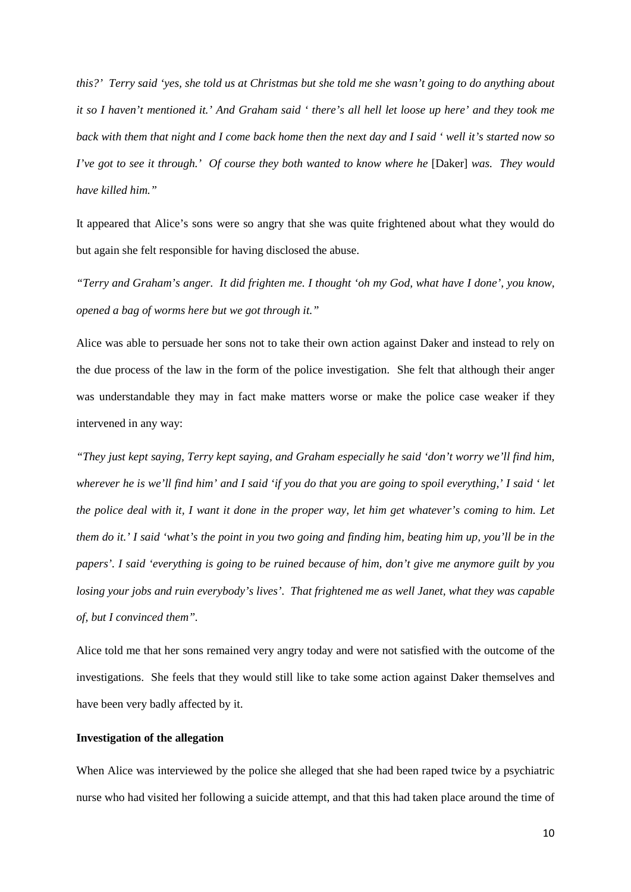*this?' Terry said 'yes, she told us at Christmas but she told me she wasn't going to do anything about it so I haven't mentioned it.' And Graham said ' there's all hell let loose up here' and they took me back with them that night and I come back home then the next day and I said ' well it's started now so I've got to see it through.' Of course they both wanted to know where he [Daker] was. They would have killed him."*

It appeared that Alice's sons were so angry that she was quite frightened about what they would do but again she felt responsible for having disclosed the abuse.

*"Terry and Graham's anger. It did frighten me. I thought 'oh my God, what have I done', you know, opened a bag of worms here but we got through it."*

Alice was able to persuade her sons not to take their own action against Daker and instead to rely on the due process of the law in the form of the police investigation. She felt that although their anger was understandable they may in fact make matters worse or make the police case weaker if they intervened in any way:

*"They just kept saying, Terry kept saying, and Graham especially he said 'don't worry we'll find him, wherever he is we'll find him' and I said 'if you do that you are going to spoil everything,' I said ' let the police deal with it, I want it done in the proper way, let him get whatever's coming to him. Let them do it.' I said 'what's the point in you two going and finding him, beating him up, you'll be in the papers'. I said 'everything is going to be ruined because of him, don't give me anymore guilt by you losing your jobs and ruin everybody's lives'. That frightened me as well Janet, what they was capable of, but I convinced them".*

Alice told me that her sons remained very angry today and were not satisfied with the outcome of the investigations. She feels that they would still like to take some action against Daker themselves and have been very badly affected by it.

# **Investigation of the allegation**

When Alice was interviewed by the police she alleged that she had been raped twice by a psychiatric nurse who had visited her following a suicide attempt, and that this had taken place around the time of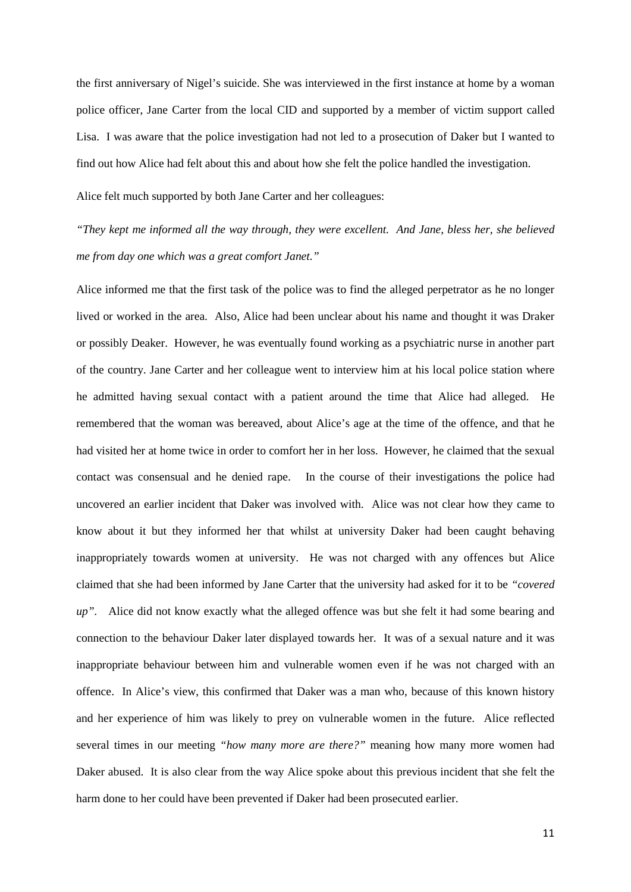the first anniversary of Nigel's suicide. She was interviewed in the first instance at home by a woman police officer, Jane Carter from the local CID and supported by a member of victim support called Lisa. I was aware that the police investigation had not led to a prosecution of Daker but I wanted to find out how Alice had felt about this and about how she felt the police handled the investigation.

Alice felt much supported by both Jane Carter and her colleagues:

*"They kept me informed all the way through, they were excellent. And Jane, bless her, she believed me from day one which was a great comfort Janet."*

Alice informed me that the first task of the police was to find the alleged perpetrator as he no longer lived or worked in the area. Also, Alice had been unclear about his name and thought it was Draker or possibly Deaker. However, he was eventually found working as a psychiatric nurse in another part of the country. Jane Carter and her colleague went to interview him at his local police station where he admitted having sexual contact with a patient around the time that Alice had alleged. He remembered that the woman was bereaved, about Alice's age at the time of the offence, and that he had visited her at home twice in order to comfort her in her loss. However, he claimed that the sexual contact was consensual and he denied rape. In the course of their investigations the police had uncovered an earlier incident that Daker was involved with. Alice was not clear how they came to know about it but they informed her that whilst at university Daker had been caught behaving inappropriately towards women at university. He was not charged with any offences but Alice claimed that she had been informed by Jane Carter that the university had asked for it to be *"covered up".* Alice did not know exactly what the alleged offence was but she felt it had some bearing and connection to the behaviour Daker later displayed towards her. It was of a sexual nature and it was inappropriate behaviour between him and vulnerable women even if he was not charged with an offence. In Alice's view, this confirmed that Daker was a man who, because of this known history and her experience of him was likely to prey on vulnerable women in the future. Alice reflected several times in our meeting *"how many more are there?"* meaning how many more women had Daker abused. It is also clear from the way Alice spoke about this previous incident that she felt the harm done to her could have been prevented if Daker had been prosecuted earlier.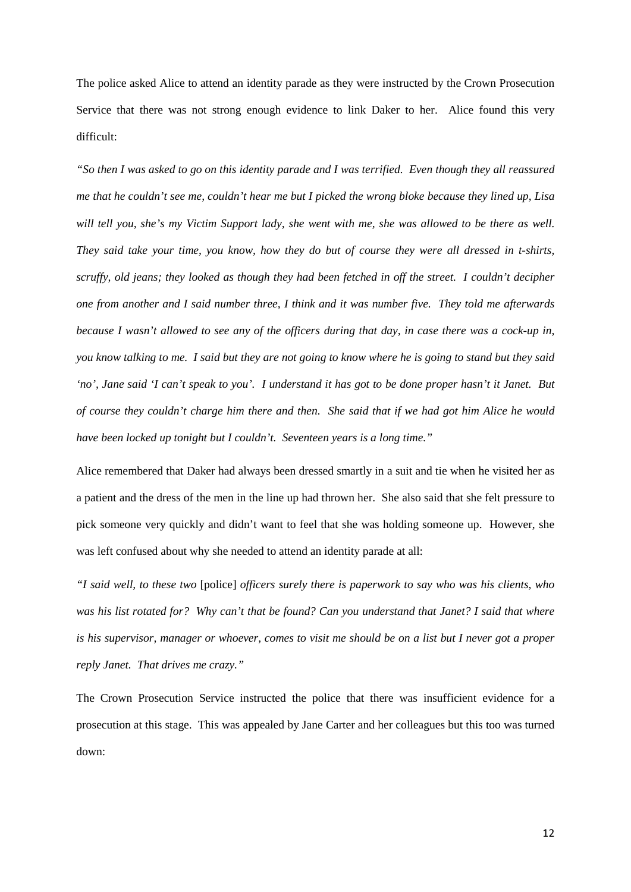The police asked Alice to attend an identity parade as they were instructed by the Crown Prosecution Service that there was not strong enough evidence to link Daker to her. Alice found this very difficult:

*"So then I was asked to go on this identity parade and I was terrified. Even though they all reassured me that he couldn't see me, couldn't hear me but I picked the wrong bloke because they lined up, Lisa will tell you, she's my Victim Support lady, she went with me, she was allowed to be there as well. They said take your time, you know, how they do but of course they were all dressed in t-shirts, scruffy, old jeans; they looked as though they had been fetched in off the street. I couldn't decipher one from another and I said number three, I think and it was number five. They told me afterwards because I wasn't allowed to see any of the officers during that day, in case there was a cock-up in, you know talking to me. I said but they are not going to know where he is going to stand but they said 'no', Jane said 'I can't speak to you'. I understand it has got to be done proper hasn't it Janet. But of course they couldn't charge him there and then. She said that if we had got him Alice he would have been locked up tonight but I couldn't. Seventeen years is a long time."*

Alice remembered that Daker had always been dressed smartly in a suit and tie when he visited her as a patient and the dress of the men in the line up had thrown her. She also said that she felt pressure to pick someone very quickly and didn't want to feel that she was holding someone up. However, she was left confused about why she needed to attend an identity parade at all:

*"I said well, to these two* [police] *officers surely there is paperwork to say who was his clients, who was his list rotated for? Why can't that be found? Can you understand that Janet? I said that where is his supervisor, manager or whoever, comes to visit me should be on a list but I never got a proper reply Janet. That drives me crazy."*

The Crown Prosecution Service instructed the police that there was insufficient evidence for a prosecution at this stage. This was appealed by Jane Carter and her colleagues but this too was turned down: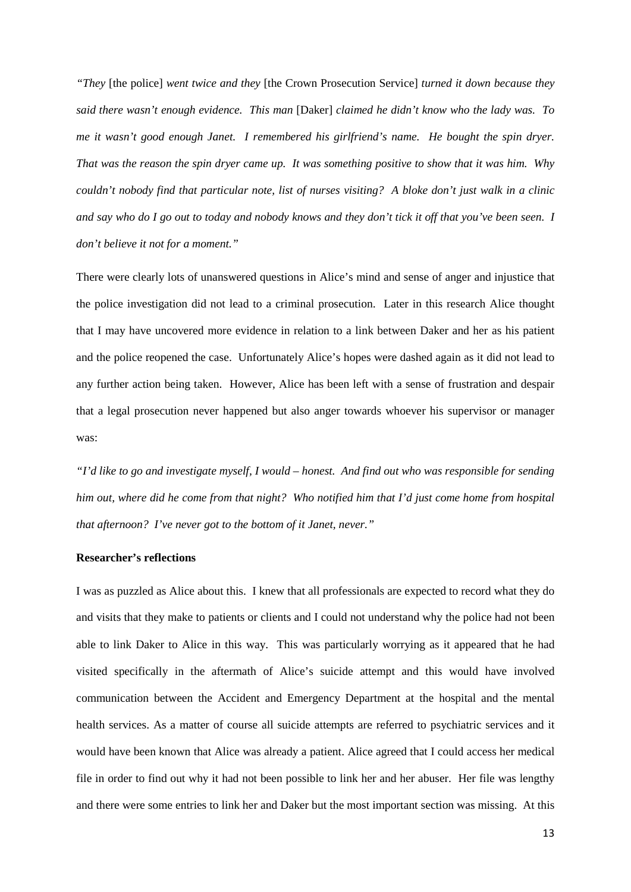*"They* [the police] *went twice and they* [the Crown Prosecution Service] *turned it down because they said there wasn't enough evidence. This man* [Daker] *claimed he didn't know who the lady was. To me it wasn't good enough Janet. I remembered his girlfriend's name. He bought the spin dryer. That was the reason the spin dryer came up. It was something positive to show that it was him. Why couldn't nobody find that particular note, list of nurses visiting? A bloke don't just walk in a clinic and say who do I go out to today and nobody knows and they don't tick it off that you've been seen. I don't believe it not for a moment."*

There were clearly lots of unanswered questions in Alice's mind and sense of anger and injustice that the police investigation did not lead to a criminal prosecution. Later in this research Alice thought that I may have uncovered more evidence in relation to a link between Daker and her as his patient and the police reopened the case. Unfortunately Alice's hopes were dashed again as it did not lead to any further action being taken. However, Alice has been left with a sense of frustration and despair that a legal prosecution never happened but also anger towards whoever his supervisor or manager was:

*"I'd like to go and investigate myself, I would – honest. And find out who was responsible for sending him out, where did he come from that night? Who notified him that I'd just come home from hospital that afternoon? I've never got to the bottom of it Janet, never."*

### **Researcher's reflections**

I was as puzzled as Alice about this. I knew that all professionals are expected to record what they do and visits that they make to patients or clients and I could not understand why the police had not been able to link Daker to Alice in this way. This was particularly worrying as it appeared that he had visited specifically in the aftermath of Alice's suicide attempt and this would have involved communication between the Accident and Emergency Department at the hospital and the mental health services. As a matter of course all suicide attempts are referred to psychiatric services and it would have been known that Alice was already a patient. Alice agreed that I could access her medical file in order to find out why it had not been possible to link her and her abuser. Her file was lengthy and there were some entries to link her and Daker but the most important section was missing. At this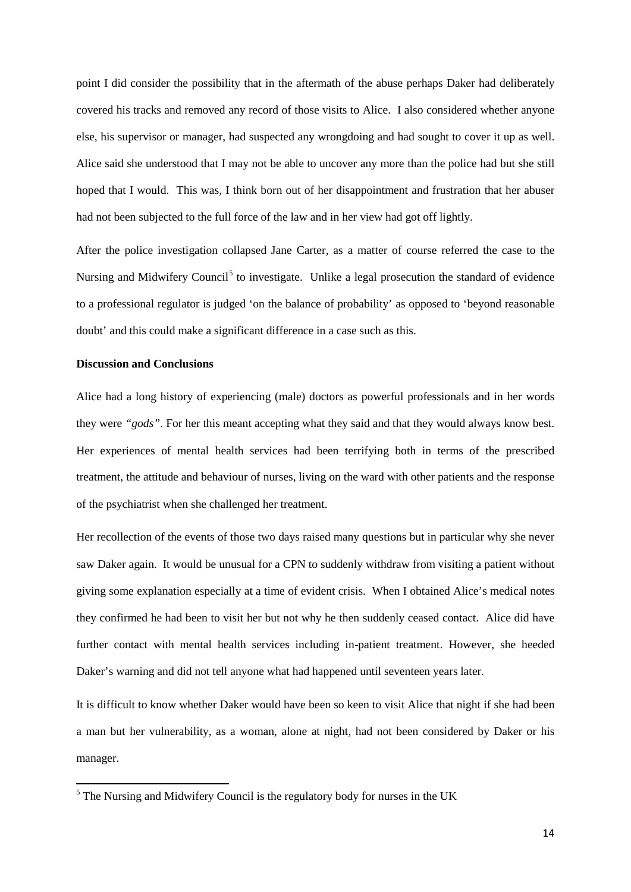point I did consider the possibility that in the aftermath of the abuse perhaps Daker had deliberately covered his tracks and removed any record of those visits to Alice. I also considered whether anyone else, his supervisor or manager, had suspected any wrongdoing and had sought to cover it up as well. Alice said she understood that I may not be able to uncover any more than the police had but she still hoped that I would. This was, I think born out of her disappointment and frustration that her abuser had not been subjected to the full force of the law and in her view had got off lightly.

After the police investigation collapsed Jane Carter, as a matter of course referred the case to the Nursing and Midwifery Council<sup>[5](#page-13-0)</sup> to investigate. Unlike a legal prosecution the standard of evidence to a professional regulator is judged 'on the balance of probability' as opposed to 'beyond reasonable doubt' and this could make a significant difference in a case such as this.

# **Discussion and Conclusions**

 $\overline{a}$ 

Alice had a long history of experiencing (male) doctors as powerful professionals and in her words they were *"gods"*. For her this meant accepting what they said and that they would always know best. Her experiences of mental health services had been terrifying both in terms of the prescribed treatment, the attitude and behaviour of nurses, living on the ward with other patients and the response of the psychiatrist when she challenged her treatment.

Her recollection of the events of those two days raised many questions but in particular why she never saw Daker again. It would be unusual for a CPN to suddenly withdraw from visiting a patient without giving some explanation especially at a time of evident crisis. When I obtained Alice's medical notes they confirmed he had been to visit her but not why he then suddenly ceased contact. Alice did have further contact with mental health services including in-patient treatment. However, she heeded Daker's warning and did not tell anyone what had happened until seventeen years later.

It is difficult to know whether Daker would have been so keen to visit Alice that night if she had been a man but her vulnerability, as a woman, alone at night, had not been considered by Daker or his manager.

<span id="page-13-0"></span> $<sup>5</sup>$  The Nursing and Midwifery Council is the regulatory body for nurses in the UK</sup>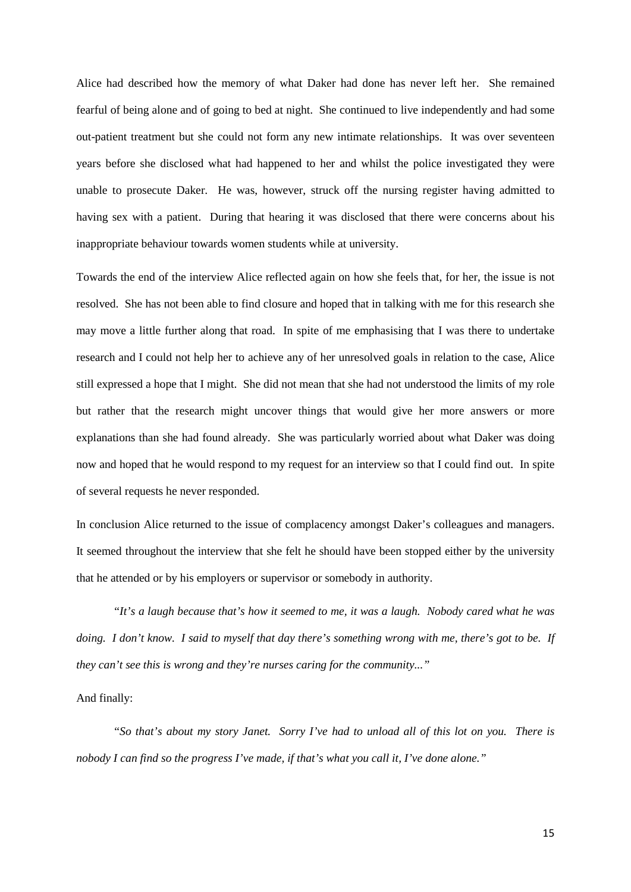Alice had described how the memory of what Daker had done has never left her. She remained fearful of being alone and of going to bed at night. She continued to live independently and had some out-patient treatment but she could not form any new intimate relationships. It was over seventeen years before she disclosed what had happened to her and whilst the police investigated they were unable to prosecute Daker. He was, however, struck off the nursing register having admitted to having sex with a patient. During that hearing it was disclosed that there were concerns about his inappropriate behaviour towards women students while at university.

Towards the end of the interview Alice reflected again on how she feels that, for her, the issue is not resolved. She has not been able to find closure and hoped that in talking with me for this research she may move a little further along that road. In spite of me emphasising that I was there to undertake research and I could not help her to achieve any of her unresolved goals in relation to the case, Alice still expressed a hope that I might. She did not mean that she had not understood the limits of my role but rather that the research might uncover things that would give her more answers or more explanations than she had found already. She was particularly worried about what Daker was doing now and hoped that he would respond to my request for an interview so that I could find out. In spite of several requests he never responded.

In conclusion Alice returned to the issue of complacency amongst Daker's colleagues and managers. It seemed throughout the interview that she felt he should have been stopped either by the university that he attended or by his employers or supervisor or somebody in authority.

"*It's a laugh because that's how it seemed to me, it was a laugh. Nobody cared what he was doing. I don't know. I said to myself that day there's something wrong with me, there's got to be. If they can't see this is wrong and they're nurses caring for the community..."*

### And finally:

"*So that's about my story Janet. Sorry I've had to unload all of this lot on you. There is nobody I can find so the progress I've made, if that's what you call it, I've done alone."*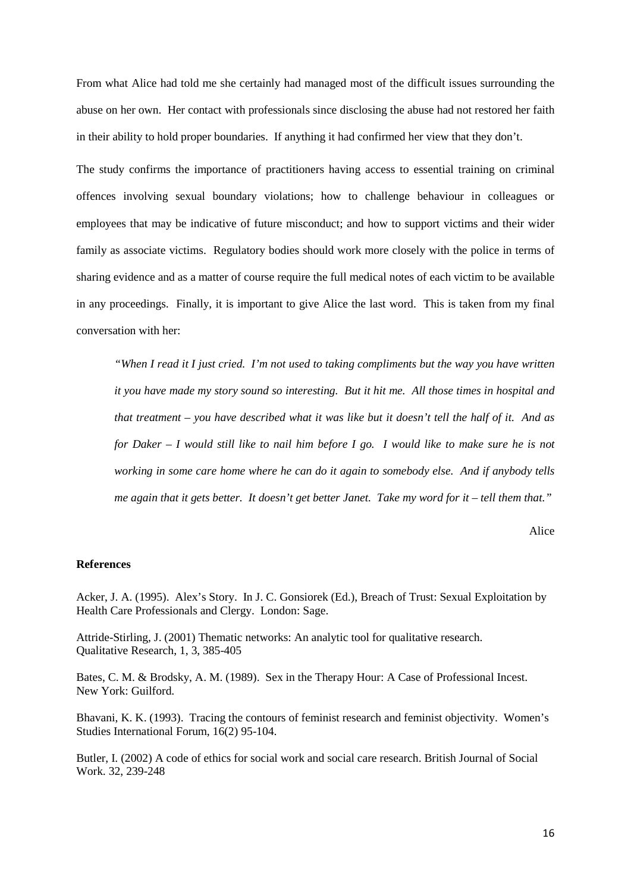From what Alice had told me she certainly had managed most of the difficult issues surrounding the abuse on her own. Her contact with professionals since disclosing the abuse had not restored her faith in their ability to hold proper boundaries. If anything it had confirmed her view that they don't.

The study confirms the importance of practitioners having access to essential training on criminal offences involving sexual boundary violations; how to challenge behaviour in colleagues or employees that may be indicative of future misconduct; and how to support victims and their wider family as associate victims. Regulatory bodies should work more closely with the police in terms of sharing evidence and as a matter of course require the full medical notes of each victim to be available in any proceedings. Finally, it is important to give Alice the last word. This is taken from my final conversation with her:

*"When I read it I just cried. I'm not used to taking compliments but the way you have written it you have made my story sound so interesting. But it hit me. All those times in hospital and that treatment – you have described what it was like but it doesn't tell the half of it. And as for Daker – I would still like to nail him before I go. I would like to make sure he is not working in some care home where he can do it again to somebody else. And if anybody tells me again that it gets better. It doesn't get better Janet. Take my word for it – tell them that."*

Alice

#### **References**

Acker, J. A. (1995). Alex's Story. In J. C. Gonsiorek (Ed.), Breach of Trust: Sexual Exploitation by Health Care Professionals and Clergy. London: Sage.

Attride-Stirling, J. (2001) Thematic networks: An analytic tool for qualitative research. Qualitative Research, 1, 3, 385-405

Bates, C. M. & Brodsky, A. M. (1989). Sex in the Therapy Hour: A Case of Professional Incest. New York: Guilford.

Bhavani, K. K. (1993). Tracing the contours of feminist research and feminist objectivity. Women's Studies International Forum, 16(2) 95-104.

Butler, I. (2002) A code of ethics for social work and social care research. British Journal of Social Work. 32, 239-248